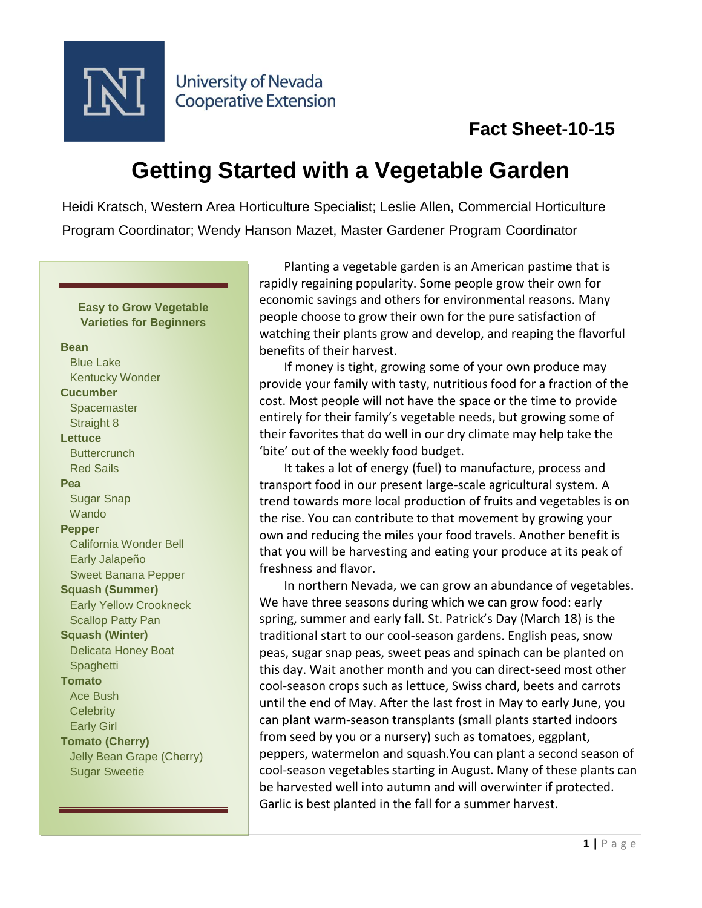

**University of Nevada Cooperative Extension** 

# **Getting Started with a Vegetable Garden**

Heidi Kratsch, Western Area Horticulture Specialist; Leslie Allen, Commercial Horticulture Program Coordinator; Wendy Hanson Mazet, Master Gardener Program Coordinator

### **Easy to Grow Vegetable Varieties for Beginners**

### **Bean**

 Blue Lake Kentucky Wonder **Cucumber Spacemaster**  Straight 8 **Lettuce Buttercrunch**  Red Sails **Pea** Sugar Snap **Wando Pepper** California Wonder Bell Early Jalapeño Sweet Banana Pepper **Squash (Summer)** Early Yellow Crookneck Scallop Patty Pan **Squash (Winter)** Delicata Honey Boat **Spaghetti Tomato** Ace Bush **Celebrity**  Early Girl **Tomato (Cherry)** Jelly Bean Grape (Cherry) Sugar Sweetie

Planting a vegetable garden is an American pastime that is rapidly regaining popularity. Some people grow their own for economic savings and others for environmental reasons. Many people choose to grow their own for the pure satisfaction of watching their plants grow and develop, and reaping the flavorful benefits of their harvest.

If money is tight, growing some of your own produce may provide your family with tasty, nutritious food for a fraction of the cost. Most people will not have the space or the time to provide entirely for their family's vegetable needs, but growing some of their favorites that do well in our dry climate may help take the 'bite' out of the weekly food budget.

It takes a lot of energy (fuel) to manufacture, process and transport food in our present large-scale agricultural system. A trend towards more local production of fruits and vegetables is on the rise. You can contribute to that movement by growing your own and reducing the miles your food travels. Another benefit is that you will be harvesting and eating your produce at its peak of freshness and flavor.

In northern Nevada, we can grow an abundance of vegetables. We have three seasons during which we can grow food: early spring, summer and early fall. St. Patrick's Day (March 18) is the traditional start to our cool-season gardens. English peas, snow peas, sugar snap peas, sweet peas and spinach can be planted on this day. Wait another month and you can direct-seed most other cool-season crops such as lettuce, Swiss chard, beets and carrots until the end of May. After the last frost in May to early June, you can plant warm-season transplants (small plants started indoors from seed by you or a nursery) such as tomatoes, eggplant, peppers, watermelon and squash.You can plant a second season of cool-season vegetables starting in August. Many of these plants can be harvested well into autumn and will overwinter if protected. Garlic is best planted in the fall for a summer harvest.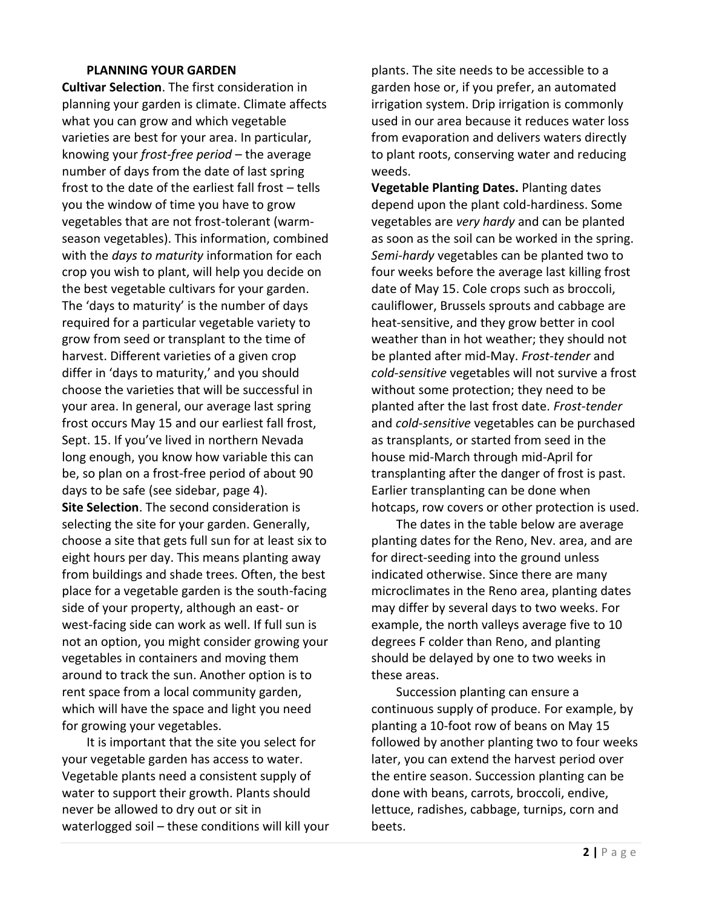### **PLANNING YOUR GARDEN**

**Cultivar Selection**. The first consideration in planning your garden is climate. Climate affects what you can grow and which vegetable varieties are best for your area. In particular, knowing your *frost-free period* – the average number of days from the date of last spring frost to the date of the earliest fall frost – tells you the window of time you have to grow vegetables that are not frost-tolerant (warmseason vegetables). This information, combined with the *days to maturity* information for each crop you wish to plant, will help you decide on the best vegetable cultivars for your garden. The 'days to maturity' is the number of days required for a particular vegetable variety to grow from seed or transplant to the time of harvest. Different varieties of a given crop differ in 'days to maturity,' and you should choose the varieties that will be successful in your area. In general, our average last spring frost occurs May 15 and our earliest fall frost, Sept. 15. If you've lived in northern Nevada long enough, you know how variable this can be, so plan on a frost-free period of about 90 days to be safe (see sidebar, page 4). **Site Selection**. The second consideration is selecting the site for your garden. Generally, choose a site that gets full sun for at least six to eight hours per day. This means planting away from buildings and shade trees. Often, the best place for a vegetable garden is the south-facing side of your property, although an east- or west-facing side can work as well. If full sun is not an option, you might consider growing your vegetables in containers and moving them around to track the sun. Another option is to rent space from a local community garden, which will have the space and light you need for growing your vegetables.

It is important that the site you select for your vegetable garden has access to water. Vegetable plants need a consistent supply of water to support their growth. Plants should never be allowed to dry out or sit in waterlogged soil – these conditions will kill your plants. The site needs to be accessible to a garden hose or, if you prefer, an automated irrigation system. Drip irrigation is commonly used in our area because it reduces water loss from evaporation and delivers waters directly to plant roots, conserving water and reducing weeds.

**Vegetable Planting Dates.** Planting dates depend upon the plant cold-hardiness. Some vegetables are *very hardy* and can be planted as soon as the soil can be worked in the spring. *Semi-hardy* vegetables can be planted two to four weeks before the average last killing frost date of May 15. Cole crops such as broccoli, cauliflower, Brussels sprouts and cabbage are heat-sensitive, and they grow better in cool weather than in hot weather; they should not be planted after mid-May. *Frost-tender* and *cold-sensitive* vegetables will not survive a frost without some protection; they need to be planted after the last frost date. *Frost-tender* and *cold-sensitive* vegetables can be purchased as transplants, or started from seed in the house mid-March through mid-April for transplanting after the danger of frost is past. Earlier transplanting can be done when hotcaps, row covers or other protection is used.

The dates in the table below are average planting dates for the Reno, Nev. area, and are for direct-seeding into the ground unless indicated otherwise. Since there are many microclimates in the Reno area, planting dates may differ by several days to two weeks. For example, the north valleys average five to 10 degrees F colder than Reno, and planting should be delayed by one to two weeks in these areas.

Succession planting can ensure a continuous supply of produce. For example, by planting a 10-foot row of beans on May 15 followed by another planting two to four weeks later, you can extend the harvest period over the entire season. Succession planting can be done with beans, carrots, broccoli, endive, lettuce, radishes, cabbage, turnips, corn and beets.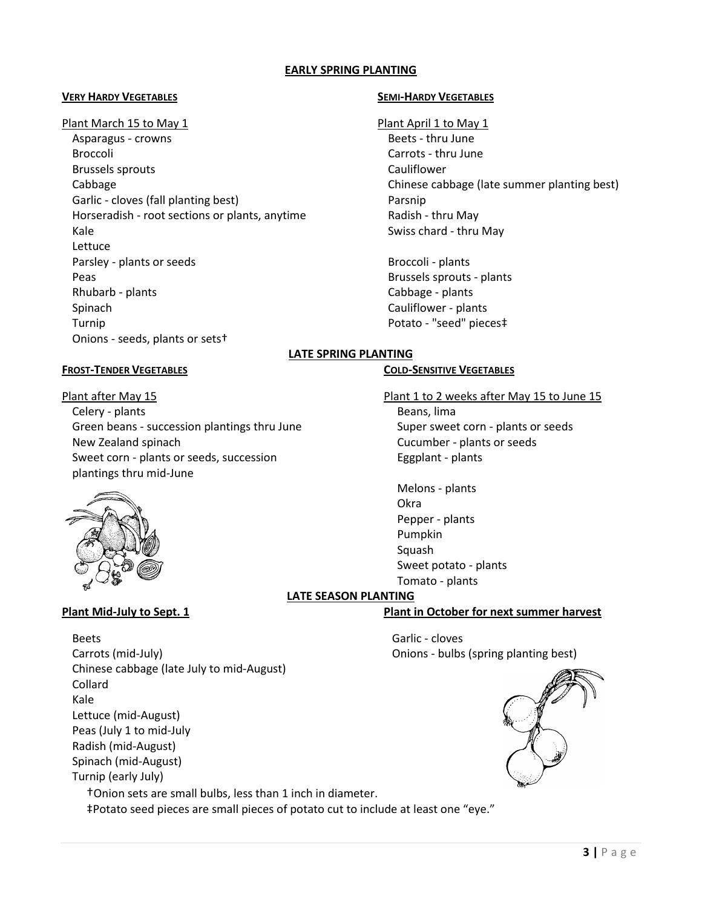### **EARLY SPRING PLANTING**

### **VERY HARDY VEGETABLES SEMI-HARDY VEGETABLES**

### Plant March 15 to May 1 Plant April 1 to May 1

Asparagus - crowns and the set of the Beets - thru June Broccoli **Carrots - thru June** Brussels sprouts **Cauliflower** Cabbage Chinese cabbage (late summer planting best) Garlic - cloves (fall planting best) example a parsnip Horseradish - root sections or plants, anytime Radish - thru May Kale Swiss chard - thru May Swiss chard - thru May Swiss chard - thru May Swiss chard - thru May Swiss chard -Lettuce Parsley - plants or seeds Broccoli - plants Peas **Brussels sprouts - plants** Rhubarb - plants Cabbage - plants Cabbage - plants Cabbage - plants Cabbage - plants Cabbage - plants Cabbage - plants Cabbage - plants Cabbage - plants Cabbage - plants Cabbage - plants Cabbage - plants Cabbage - plants C Spinach Cauliflower - plants Turnip Potato - "seed" pieces‡ Onions - seeds, plants or sets†

### **LATE SPRING PLANTING**

### **FROST-TENDER VEGETABLES COLD-SENSITIVE VEGETABLES**

Eggplant - plants

Melons - plants

Pepper - plants Pumpkin Squash

Sweet potato - plants Tomato - plants

Okra

Plant after May 15 Plant 1 to 2 weeks after May 15 to June 15 Celery - plants Beans, lima Green beans - succession plantings thru June Super sweet corn - plants or seeds New Zealand spinach Cucumber - plants or seeds Sweet corn - plants or seeds, succession plantings thru mid-June



## **LATE SEASON PLANTING**

**Plant Mid-July to Sept. 1 Plant in October for next summer harvest**



### Beets **Garlic - cloves** Carrots (mid-July) Onions - bulbs (spring planting best) Chinese cabbage (late July to mid-August) Collard Kale Lettuce (mid-August) Peas (July 1 to mid-July Radish (mid-August) Spinach (mid-August) Turnip (early July) †Onion sets are small bulbs, less than 1 inch in diameter.

‡Potato seed pieces are small pieces of potato cut to include at least one "eye."